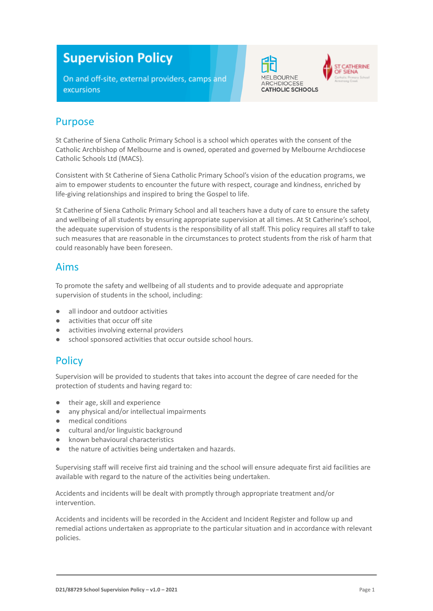# **Supervision Policy**

On and off-site, external providers, camps and excursions





#### Purpose

St Catherine of Siena Catholic Primary School is a school which operates with the consent of the Catholic Archbishop of Melbourne and is owned, operated and governed by Melbourne Archdiocese Catholic Schools Ltd (MACS).

Consistent with St Catherine of Siena Catholic Primary School's vision of the education programs, we aim to empower students to encounter the future with respect, courage and kindness, enriched by life-giving relationships and inspired to bring the Gospel to life.

St Catherine of Siena Catholic Primary School and all teachers have a duty of care to ensure the safety and wellbeing of all students by ensuring appropriate supervision at all times. At St Catherine's school, the adequate supervision of students is the responsibility of all staff. This policy requires all staff to take such measures that are reasonable in the circumstances to protect students from the risk of harm that could reasonably have been foreseen.

#### Aims

To promote the safety and wellbeing of all students and to provide adequate and appropriate supervision of students in the school, including:

- all indoor and outdoor activities
- activities that occur off site
- activities involving external providers
- school sponsored activities that occur outside school hours.

#### **Policy**

Supervision will be provided to students that takes into account the degree of care needed for the protection of students and having regard to:

- their age, skill and experience
- any physical and/or intellectual impairments
- medical conditions
- cultural and/or linguistic background
- known behavioural characteristics
- the nature of activities being undertaken and hazards.

Supervising staff will receive first aid training and the school will ensure adequate first aid facilities are available with regard to the nature of the activities being undertaken.

Accidents and incidents will be dealt with promptly through appropriate treatment and/or intervention.

Accidents and incidents will be recorded in the Accident and Incident Register and follow up and remedial actions undertaken as appropriate to the particular situation and in accordance with relevant policies.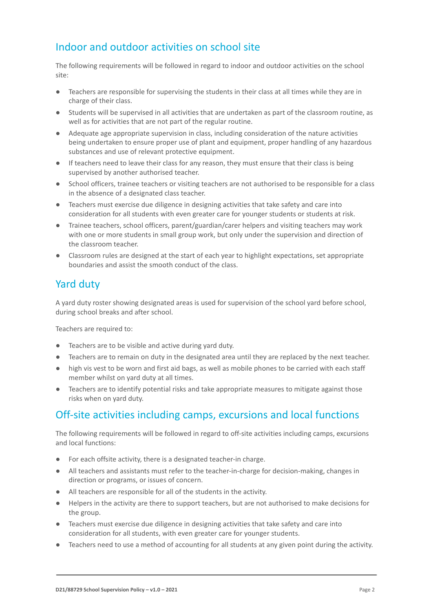#### Indoor and outdoor activities on school site

The following requirements will be followed in regard to indoor and outdoor activities on the school site:

- Teachers are responsible for supervising the students in their class at all times while they are in charge of their class.
- Students will be supervised in all activities that are undertaken as part of the classroom routine, as well as for activities that are not part of the regular routine.
- Adequate age appropriate supervision in class, including consideration of the nature activities being undertaken to ensure proper use of plant and equipment, proper handling of any hazardous substances and use of relevant protective equipment.
- If teachers need to leave their class for any reason, they must ensure that their class is being supervised by another authorised teacher.
- School officers, trainee teachers or visiting teachers are not authorised to be responsible for a class in the absence of a designated class teacher.
- Teachers must exercise due diligence in designing activities that take safety and care into consideration for all students with even greater care for younger students or students at risk.
- Trainee teachers, school officers, parent/guardian/carer helpers and visiting teachers may work with one or more students in small group work, but only under the supervision and direction of the classroom teacher.
- Classroom rules are designed at the start of each year to highlight expectations, set appropriate boundaries and assist the smooth conduct of the class.

## Yard duty

A yard duty roster showing designated areas is used for supervision of the school yard before school, during school breaks and after school.

Teachers are required to:

- Teachers are to be visible and active during yard duty.
- Teachers are to remain on duty in the designated area until they are replaced by the next teacher.
- high vis vest to be worn and first aid bags, as well as mobile phones to be carried with each staff member whilst on yard duty at all times.
- Teachers are to identify potential risks and take appropriate measures to mitigate against those risks when on yard duty.

## Off-site activities including camps, excursions and local functions

The following requirements will be followed in regard to off-site activities including camps, excursions and local functions:

- For each offsite activity, there is a designated teacher-in charge.
- All teachers and assistants must refer to the teacher-in-charge for decision-making, changes in direction or programs, or issues of concern.
- All teachers are responsible for all of the students in the activity.
- Helpers in the activity are there to support teachers, but are not authorised to make decisions for the group.
- Teachers must exercise due diligence in designing activities that take safety and care into consideration for all students, with even greater care for younger students.
- Teachers need to use a method of accounting for all students at any given point during the activity.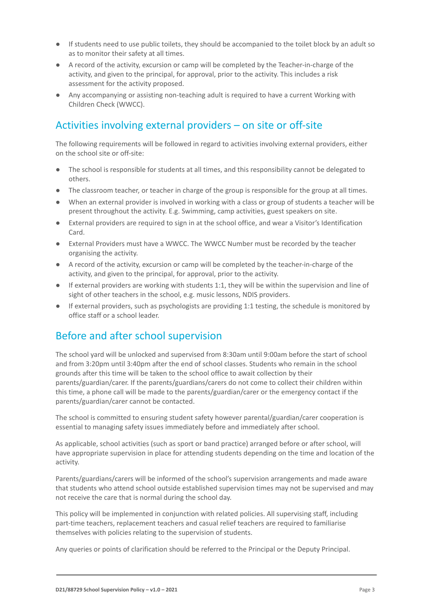- If students need to use public toilets, they should be accompanied to the toilet block by an adult so as to monitor their safety at all times.
- A record of the activity, excursion or camp will be completed by the Teacher-in-charge of the activity, and given to the principal, for approval, prior to the activity. This includes a risk assessment for the activity proposed.
- Any accompanying or assisting non-teaching adult is required to have a current Working with Children Check (WWCC).

#### Activities involving external providers – on site or off-site

The following requirements will be followed in regard to activities involving external providers, either on the school site or off-site:

- The school is responsible for students at all times, and this responsibility cannot be delegated to others.
- The classroom teacher, or teacher in charge of the group is responsible for the group at all times.
- When an external provider is involved in working with a class or group of students a teacher will be present throughout the activity. E.g. Swimming, camp activities, guest speakers on site.
- External providers are required to sign in at the school office, and wear a Visitor's Identification Card.
- External Providers must have a WWCC. The WWCC Number must be recorded by the teacher organising the activity.
- A record of the activity, excursion or camp will be completed by the teacher-in-charge of the activity, and given to the principal, for approval, prior to the activity.
- If external providers are working with students 1:1, they will be within the supervision and line of sight of other teachers in the school, e.g. music lessons, NDIS providers.
- If external providers, such as psychologists are providing 1:1 testing, the schedule is monitored by office staff or a school leader.

## Before and after school supervision

The school yard will be unlocked and supervised from 8:30am until 9:00am before the start of school and from 3:20pm until 3:40pm after the end of school classes. Students who remain in the school grounds after this time will be taken to the school office to await collection by their parents/guardian/carer. If the parents/guardians/carers do not come to collect their children within this time, a phone call will be made to the parents/guardian/carer or the emergency contact if the parents/guardian/carer cannot be contacted.

The school is committed to ensuring student safety however parental/guardian/carer cooperation is essential to managing safety issues immediately before and immediately after school.

As applicable, school activities (such as sport or band practice) arranged before or after school, will have appropriate supervision in place for attending students depending on the time and location of the activity.

Parents/guardians/carers will be informed of the school's supervision arrangements and made aware that students who attend school outside established supervision times may not be supervised and may not receive the care that is normal during the school day.

This policy will be implemented in conjunction with related policies. All supervising staff, including part-time teachers, replacement teachers and casual relief teachers are required to familiarise themselves with policies relating to the supervision of students.

Any queries or points of clarification should be referred to the Principal or the Deputy Principal.